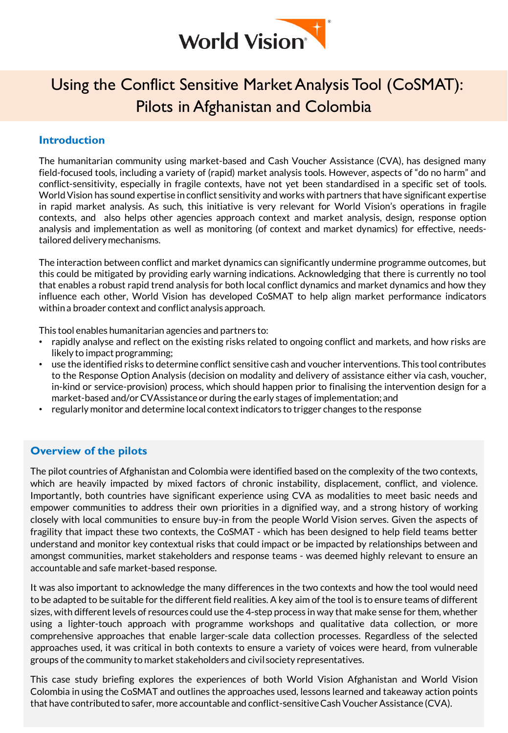

# Using the Conflict Sensitive Market Analysis Tool (CoSMAT): Pilots in Afghanistan and Colombia

#### **Introduction**

The humanitarian community using market-based and Cash Voucher Assistance (CVA), has designed many field-focused tools, including a variety of (rapid) market analysis tools. However, aspects of "do no harm" and conflict-sensitivity, especially in fragile contexts, have not yet been standardised in a specific set of tools. WorldVision has sound expertise in conflict sensitivity and works with partners that have significant expertise in rapid market analysis. As such, this initiative is very relevant for World Vision's operations in fragile contexts, and also helps other agencies approach context and market analysis, design, response option analysis and implementation as well as monitoring (of context and market dynamics) for effective, needstailored deliverymechanisms.

The interaction between conflict and market dynamics can significantly undermine programme outcomes, but this could be mitigated by providing early warning indications. Acknowledging that there is currently no tool that enables a robust rapid trend analysis for both local conflict dynamics and market dynamics and how they influence each other, World Vision has developed CoSMAT to help align market performance indicators withina broader context and conflict analysis approach.

This tool enables humanitarian agencies and partners to:

- rapidly analyse and reflect on the existing risks related to ongoing conflict and markets, and how risks are likely to impact programming;
- use the identified risks to determine conflict sensitive cash and voucher interventions. This tool contributes to the Response Option Analysis (decision on modality and delivery of assistance either via cash, voucher, in-kind or service-provision) process, which should happen prior to finalising the intervention design for a market-based and/orCVAssistanceor during the early stages of implementation; and
- regularly monitor and determine local contextindicators to trigger changes to the response

#### **Overview of the pilots**

The pilot countries of Afghanistan and Colombia were identified based on the complexity of the two contexts, which are heavily impacted by mixed factors of chronic instability, displacement, conflict, and violence. Importantly, both countries have significant experience using CVA as modalities to meet basic needs and empower communities to address their own priorities in a dignified way, and a strong history of working closely with local communities to ensure buy-in from the people World Vision serves. Given the aspects of fragility that impact these two contexts, the CoSMAT - which has been designed to help field teams better understand and monitor key contextual risks that could impact or be impacted by relationships between and amongst communities, market stakeholders and response teams - was deemed highly relevant to ensure an accountable and safe market-based response.

It was also important to acknowledge the many differences in the two contexts and how the tool would need to be adapted to be suitable for the different field realities. A key aim of the tool is to ensure teams of different sizes, with different levels of resources could use the 4-step process in way that make sense for them, whether using a lighter-touch approach with programme workshops and qualitative data collection, or more comprehensive approaches that enable larger-scale data collection processes. Regardless of the selected approaches used, it was critical in both contexts to ensure a variety of voices were heard, from vulnerable groups of the community to market stakeholders and civilsociety representatives.

This case study briefing explores the experiences of both World Vision Afghanistan and World Vision Colombia in using the CoSMAT and outlines the approaches used, lessons learned and takeaway action points that have contributed to safer, more accountable and conflict-sensitive Cash Voucher Assistance (CVA).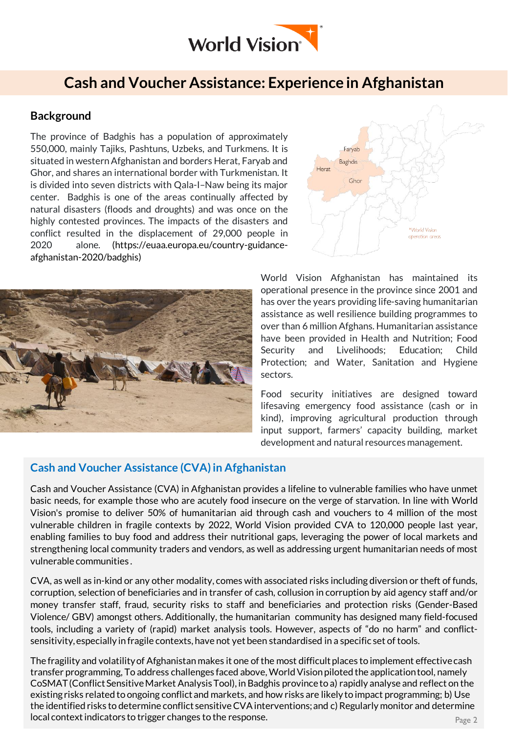

## **Cash and Voucher Assistance: Experience in Afghanistan**

#### **Background**

The province of Badghis has a population of approximately 550,000, mainly Tajiks, Pashtuns, Uzbeks, and Turkmens. It is situated in westernAfghanistan and borders Herat, Faryab and Ghor, and shares an international border with Turkmenistan. It is divided into seven districts with Qala-I–Naw being its major center. Badghis is one of the areas continually affected by natural disasters (floods and droughts) and was once on the highly contested provinces. The impacts of the disasters and conflict resulted in the displacement of 29,000 people in 2020 alone. (https://euaa.europa.eu/country-guidanceafghanistan-2020/badghis)





World Vision Afghanistan has maintained its operational presence in the province since 2001 and has over the years providing life-saving humanitarian assistance as well resilience building programmes to over than 6 million Afghans. Humanitarian assistance have been provided in Health and Nutrition; Food Security and Livelihoods; Education; Child Protection; and Water, Sanitation and Hygiene sectors.

Food security initiatives are designed toward lifesaving emergency food assistance (cash or in kind), improving agricultural production through input support, farmers' capacity building, market development and natural resources management.

#### **Cash and Voucher Assistance (CVA) in Afghanistan**

Cash and Voucher Assistance (CVA) in Afghanistan provides a lifeline to vulnerable families who have unmet basic needs, for example those who are acutely food insecure on the verge of starvation. In line with World Vision's promise to deliver 50% of humanitarian aid through cash and vouchers to 4 million of the most vulnerable children in fragile contexts by 2022, World Vision provided CVA to 120,000 people last year, enabling families to buy food and address their nutritional gaps, leveraging the power of local markets and strengthening local community traders and vendors, as well as addressing urgent humanitarian needs of most vulnerable communities .

CVA, as well as in-kind or any other modality, comes with associated risks including diversion or theft of funds, corruption, selection of beneficiaries and in transfer of cash, collusion in corruption by aid agency staff and/or money transfer staff, fraud, security risks to staff and beneficiaries and protection risks (Gender-Based Violence/ GBV) amongst others. Additionally, the humanitarian community has designed many field-focused tools, including a variety of (rapid) market analysis tools. However, aspects of "do no harm" and conflictsensitivity,especially in fragile contexts, have not yet been standardised in a specific set of tools.

The fragility and volatility of Afghanistan makes it one of the most difficult places to implement effective cash transfer programming, To address challenges faced above, World Vision piloted the application tool, namely CoSMAT (Conflict Sensitive Market Analysis Tool), in Badghis province to a) rapidly analyse and reflect on the existing risks related to ongoing conflict and markets, and how risks are likely to impact programming; b) Use the identified risks to determine conflict sensitive CVA interventions; and c) Regularly monitor and determine local context indicators to trigger changes to the response.  $\rho_{\text{age 2}}$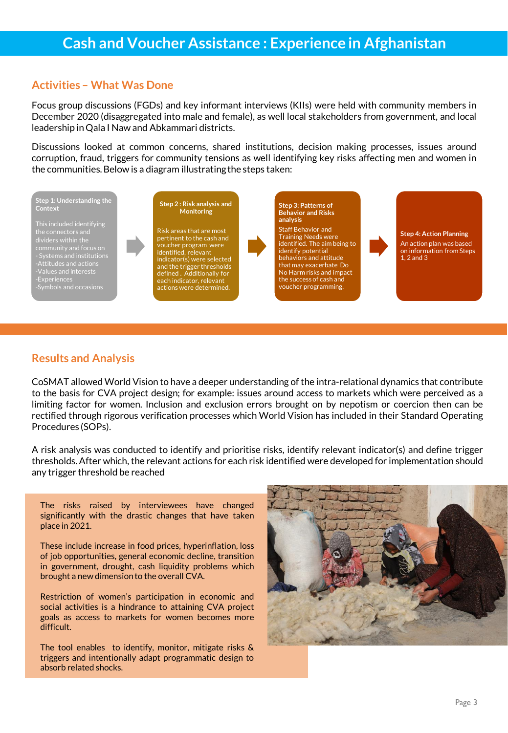#### **Activities – What Was Done**

Focus group discussions (FGDs) and key informant interviews (KIIs) were held with community members in December 2020 (disaggregated into male and female), as well local stakeholders from government, and local leadership inQala I Naw and Abkammari districts.

Discussions looked at common concerns, shared institutions, decision making processes, issues around corruption, fraud, triggers for community tensions as well identifying key risks affecting men and women in the communities. Below is a diagram illustrating the steps taken:



### **Results and Analysis**

CoSMAT allowed World Vision to have a deeper understanding of the intra-relational dynamics that contribute to the basis for CVA project design; for example: issues around access to markets which were perceived as a limiting factor for women. Inclusion and exclusion errors brought on by nepotism or coercion then can be rectified through rigorous verification processes which World Vision has included in their Standard Operating Procedures (SOPs).

A risk analysis was conducted to identify and prioritise risks, identify relevant indicator(s) and define trigger thresholds.After which, the relevant actions for each risk identified were developed for implementation should any trigger threshold be reached

The risks raised by interviewees have changed significantly with the drastic changes that have taken place in 2021.

These include increase in food prices, hyperinflation, loss of job opportunities, general economic decline, transition in government, drought, cash liquidity problems which brought a new dimensionto the overall CVA.

Restriction of women's participation in economic and social activities is a hindrance to attaining CVA project goals as access to markets for women becomes more difficult.

The tool enables to identify, monitor, mitigate risks & triggers and intentionally adapt programmatic design to absorb related shocks.

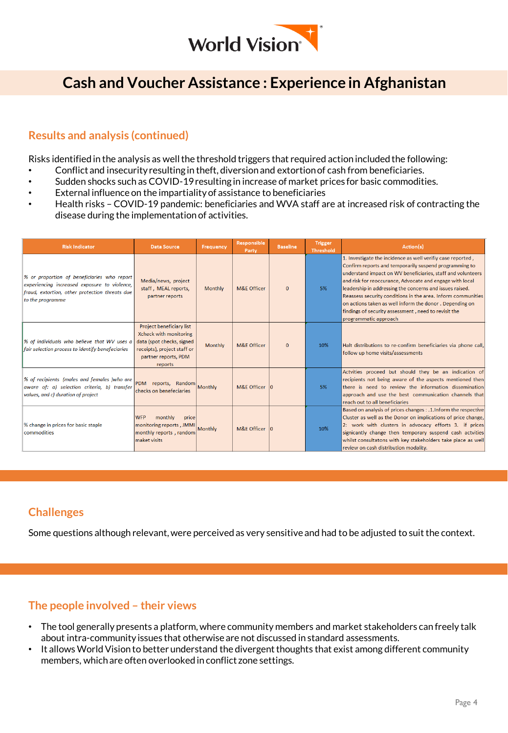

## **Cash and Voucher Assistance : Experience in Afghanistan**

## **Results and analysis (continued)**

Risks identified in the analysis as well the threshold triggers that required action included the following:

- Conflict and insecurityresulting in theft, diversionand extortionof cash from beneficiaries.
- Sudden shocks such as COVID-19resulting in increase of market prices for basic commodities.
- External influence on the impartialityof assistance to beneficiaries
- Health risks COVID-19 pandemic: beneficiaries and WVA staff are at increased risk of contracting the disease during the implementation of activities.

| <b>Risk Indicator</b>                                                                                                                                             | <b>Data Source</b>                                                                                                                                              | Frequency      | Responsible<br>Party   | <b>Baseline</b> | <b>Trigger</b><br>Threshold | Action(s)                                                                                                                                                                                                                                                                                                                                                                                                                                                                                                                |
|-------------------------------------------------------------------------------------------------------------------------------------------------------------------|-----------------------------------------------------------------------------------------------------------------------------------------------------------------|----------------|------------------------|-----------------|-----------------------------|--------------------------------------------------------------------------------------------------------------------------------------------------------------------------------------------------------------------------------------------------------------------------------------------------------------------------------------------------------------------------------------------------------------------------------------------------------------------------------------------------------------------------|
| % or proportion of beneficiaries who report<br>experiencing increased exposure to violence,<br>fraud, extortion, other protection threats due<br>to the programme | Media/news, project<br>staff, MEAL reports,<br>partner reports                                                                                                  | Monthly        | M&F Officer            | $\Omega$        | 5%                          | 1. Investigate the incidence as well verifiy case reported,<br>Confirm reports and temporarily suspend programming to<br>understand impact on WV beneficiaries, staff and volunteers<br>and risk for reoccurance, Advocate and engage with local<br>leadership in addressing the concerns and issues raised.<br>Reassess security conditions in the area. Inform communities<br>on actions taken as well inform the donor. Depending on<br>findings of security assessment, need to revisit the<br>programmatic approach |
| % of individuals who believe that WV uses a<br>fair selection process to identify benefeciaries                                                                   | <b>Project beneficiary list</b><br><b>Xcheck with monitoring</b><br>data (spot checks, signed<br>receipts), project staff or<br>partner reports, PDM<br>reports | <b>Monthly</b> | <b>M&amp;E Officer</b> | $\mathbf{0}$    | 10%                         | Halt distributions to re-confirm beneficiaries via phone call,<br>follow up home visits/assessments                                                                                                                                                                                                                                                                                                                                                                                                                      |
| % of recipients (males and females )who are<br>aware of: a) selection criteria, b) transfer<br>values, and c) duration of project                                 | PDM reports, Random Monthly<br>checks on benefeciaries                                                                                                          |                | M&E Officer 10         |                 | 5%                          | Actvities proceed but should they be an indication of<br>recipients not being aware of the aspects mentioned then<br>there is need to review the information dissemination<br>approach and use the best communication channels that<br>reach out to all beneficiaries                                                                                                                                                                                                                                                    |
| % change in prices for basic staple<br>commodities                                                                                                                | monthly<br><b>WFP</b><br>price<br>monitoring reports, JMMI<br>monthly reports, random<br>maket visits                                                           | Monthly        | M&F Officer 10         |                 | 10%                         | Based on analysis of prices changes : . 1. Inform the respective<br>Cluster as well as the Donor on implications of price change,<br>2: work with clusters in advocacy efforts 3. if prices<br>signicantly change then temporary suspend cash actvities<br>whilst consultatons with key stakeholders take place as well<br>review on cash distribution modality.                                                                                                                                                         |

## **Challenges**

Some questions although relevant, were perceived as very sensitive and had to be adjusted to suit the context.

## **The people involved – their views**

- The tool generally presents a platform, where community members and market stakeholders can freely talk about intra-community issues that otherwise are not discussed in standard assessments.
- It allows World Vision to better understand the divergent thoughts that exist among different community members, which are often overlooked in conflict zone settings.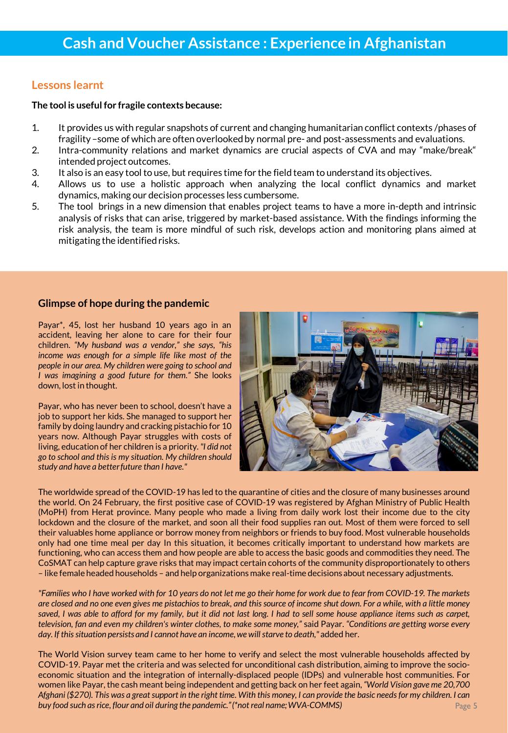#### **Lessons learnt**

#### **The tool is useful for fragile contexts because:**

- 1. It provides us with regular snapshots of current and changing humanitarian conflict contexts /phases of fragility-some of which are often overlooked by normal pre- and post-assessments and evaluations.
- 2. Intra-community relations and market dynamics are crucial aspects of CVA and may "make/break" intended project outcomes.
- 3. It also is an easy tool to use, but requires time for the field team to understand its objectives.
- 4. Allows us to use a holistic approach when analyzing the local conflict dynamics and market dynamics, making our decision processes less cumbersome.
- 5. The tool brings in a new dimension that enables project teams to have a more in-depth and intrinsic analysis of risks that can arise, triggered by market-based assistance. With the findings informing the risk analysis, the team is more mindful of such risk, develops action and monitoring plans aimed at mitigating the identified risks.

#### **Glimpse of hope during the pandemic**

Payar\*, 45, lost her husband 10 years ago in an accident, leaving her alone to care for their four children. *"My husband was a vendor," she says, "his income was enough for a simple life like most of the people in our area. My children were going to school and I was imagining a good future for them."* She looks down, lost in thought.

Payar, who has never been to school, doesn't have a job to support her kids. She managed to support her family by doing laundry and cracking pistachio for 10 years now. Although Payar struggles with costs of living, education of her children is a priority.*"I did not go to school and this is my situation. My children should study and have a betterfuture than I have."*



The worldwide spread of the COVID-19 has led to the quarantine of cities and the closure of many businesses around the world. On 24 February, the first positive case of COVID-19 was registered by Afghan Ministry of Public Health (MoPH) from Herat province. Many people who made a living from daily work lost their income due to the city lockdown and the closure of the market, and soon all their food supplies ran out. Most of them were forced to sell their valuables home appliance or borrow money from neighbors or friends to buy food. Most vulnerable households only had one time meal per day In this situation, it becomes critically important to understand how markets are functioning, who can access them and how people are able to access the basic goods and commodities they need. The CoSMAT can help capture grave risks that may impact certain cohorts of the community disproportionately to others – like female headed households – and help organizations make real-time decisionsabout necessary adjustments.

"Families who I have worked with for 10 years do not let me go their home for work due to fear from COVID-19. The markets are closed and no one even gives me pistachios to break, and this source of income shut down. For a while, with a little money saved, I was able to afford for my family, but it did not last long. I had to sell some house appliance items such as carpet, television, fan and even my children's winter clothes, to make some money," said Payar. "Conditions are getting worse every *day. If thissituation persists and I cannot have an income,we willstarve to death,"* added her.

The World Vision survey team came to her home to verify and select the most vulnerable households affected by COVID-19. Payar met the criteria and was selected for unconditional cash distribution, aiming to improve the socioeconomic situation and the integration of internally-displaced people (IDPs) and vulnerable host communities. For women like Payar,the cash meant being independent and getting back on her feet again, *"World Vision gave me 20,700* Afghani (\$270). This was a great support in the right time. With this money, I can provide the basic needs for my children. I can *buy food such asrice, flour and oil during the pandemic."(\*not real name;WVA-COMMS)*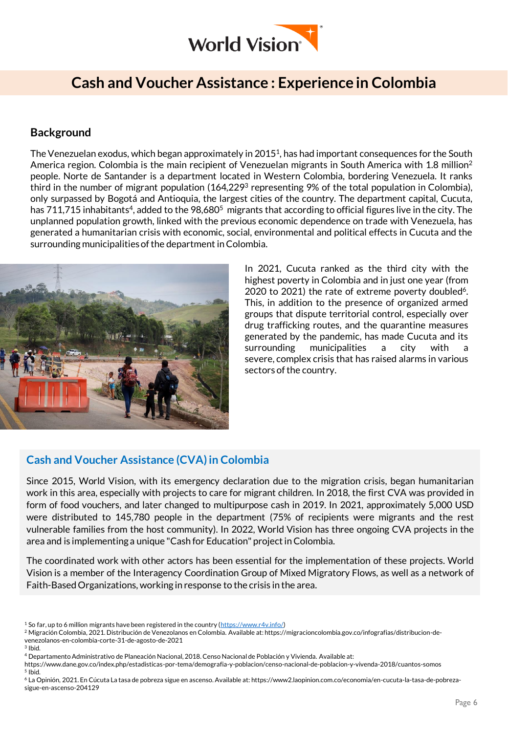

## **Cash and Voucher Assistance : Experience in Colombia**

### **Background**

The Venezuelan exodus, which began approximately in 2015<sup>1</sup>, has had important consequences for the South America region. Colombia is the main recipient of Venezuelan migrants in South America with 1.8 million<sup>2</sup> people. Norte de Santander is a department located in Western Colombia, bordering Venezuela. It ranks third in the number of migrant population (164,229<sup>3</sup> representing 9% of the total population in Colombia), only surpassed by Bogotá and Antioquia, the largest cities of the country. The department capital, Cucuta, has 711,715 inhabitants<sup>4</sup>, added to the 98,680<sup>5</sup> migrants that according to official figures live in the city. The unplanned population growth, linked with the previous economic dependence on trade with Venezuela, has generated a humanitarian crisis with economic, social, environmental and political effects in Cucuta and the surrounding municipalities of the department in Colombia.



In 2021, Cucuta ranked as the third city with the highest poverty in Colombia and in just one year (from 2020 to 2021) the rate of extreme poverty doubled<sup>6</sup>. This, in addition to the presence of organized armed groups that dispute territorial control, especially over drug trafficking routes, and the quarantine measures generated by the pandemic, has made Cucuta and its surrounding municipalities a city with a severe, complex crisis that has raised alarms in various sectors of the country.

#### **Cash and Voucher Assistance (CVA) in Colombia**

Since 2015, World Vision, with its emergency declaration due to the migration crisis, began humanitarian work in this area, especially with projects to care for migrant children. In 2018, the first CVA was provided in form of food vouchers, and later changed to multipurpose cash in 2019. In 2021, approximately 5,000 USD were distributed to 145,780 people in the department (75% of recipients were migrants and the rest vulnerable families from the host community). In 2022, World Vision has three ongoing CVA projects in the area and is implementing a unique "Cash for Education" project in Colombia.

The coordinated work with other actors has been essential for the implementation of these projects. World Vision is a member of the Interagency Coordination Group of Mixed Migratory Flows, as well as a network of Faith-BasedOrganizations, working in response to the crisis in the area.

3 Ibid.

<sup>&</sup>lt;sup>1</sup> So far, up to 6 million migrants have been registered in the country ( $\frac{https://www.r4v.info/}{https://www.r4v.info/})$ 

<sup>2</sup> Migración Colombia, 2021. Distribución de Venezolanos en Colombia. Available at: https://migracioncolombia.gov.co/infografias/distribucion-devenezolanos-en-colombia-corte-31-de-agosto-de-2021

<sup>4</sup> Departamento Administrativo de Planeación Nacional, 2018. Censo Nacional de Población y Vivienda. Available at:

https://www.dane.gov.co/index.php/estadisticas-por-tema/demografia-y-poblacion/censo-nacional-de-poblacion-y-vivenda-2018/cuantos-somos 5 Ibid.

<sup>6</sup> La Opinión, 2021. En Cúcuta La tasa de pobreza sigue en ascenso. Available at: https://www2.laopinion.com.co/economia/en-cucuta-la-tasa-de-pobrezasigue-en-ascenso-204129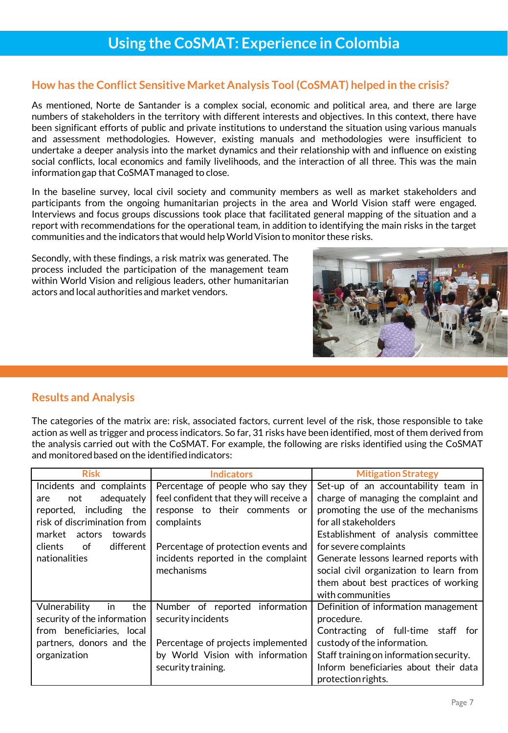### **How has the Conflict Sensitive Market Analysis Tool (CoSMAT) helped in the crisis?**

As mentioned, Norte de Santander is a complex social, economic and political area, and there are large numbers of stakeholders in the territory with different interests and objectives. In this context, there have been significant efforts of public and private institutions to understand the situation using various manuals and assessment methodologies. However, existing manuals and methodologies were insufficient to undertake a deeper analysis into the market dynamics and their relationship with and influence on existing social conflicts, local economics and family livelihoods, and the interaction of all three. This was the main information gap that CoSMAT managed to close.

In the baseline survey, local civil society and community members as well as market stakeholders and participants from the ongoing humanitarian projects in the area and World Vision staff were engaged. Interviews and focus groups discussions took place that facilitated general mapping of the situation and a report with recommendations for the operational team, in addition to identifying the main risks in the target communities and the indicators that would helpWorldVisionto monitor these risks.

Secondly, with these findings, a risk matrix was generated. The process included the participation of the management team within World Vision and religious leaders, other humanitarian actors and local authoritiesand market vendors.



The categories of the matrix are: risk, associated factors, current level of the risk, those responsible to take action as well as trigger and process indicators. So far, 31 risks have been identified, most of them derived from the analysis carried out with the CoSMAT. For example, the following are risks identified using the CoSMAT and monitored based on the identified indicators:

| <b>Risk</b>                 | <b>Indicators</b>                       | <b>Mitigation Strategy</b>              |
|-----------------------------|-----------------------------------------|-----------------------------------------|
| Incidents and complaints    | Percentage of people who say they       | Set-up of an accountability team in     |
| adequately<br>not<br>are    | feel confident that they will receive a | charge of managing the complaint and    |
| including the<br>reported,  | response to their comments or           | promoting the use of the mechanisms     |
| risk of discrimination from | complaints                              | for all stakeholders                    |
| market<br>actors<br>towards |                                         | Establishment of analysis committee     |
| clients<br>different<br>of  | Percentage of protection events and     | for severe complaints                   |
| nationalities               | incidents reported in the complaint     | Generate lessons learned reports with   |
|                             | mechanisms                              | social civil organization to learn from |
|                             |                                         | them about best practices of working    |
|                             |                                         | with communities                        |
| Vulnerability<br>the<br>in. | Number of reported information          | Definition of information management    |
| security of the information | security incidents                      | procedure.                              |
| from beneficiaries, local   |                                         | Contracting of full-time staff for      |
| partners, donors and the    | Percentage of projects implemented      | custody of the information.             |
| organization                | by World Vision with information        | Staff training on information security. |
|                             | security training.                      | Inform beneficiaries about their data   |
|                             |                                         | protection rights.                      |